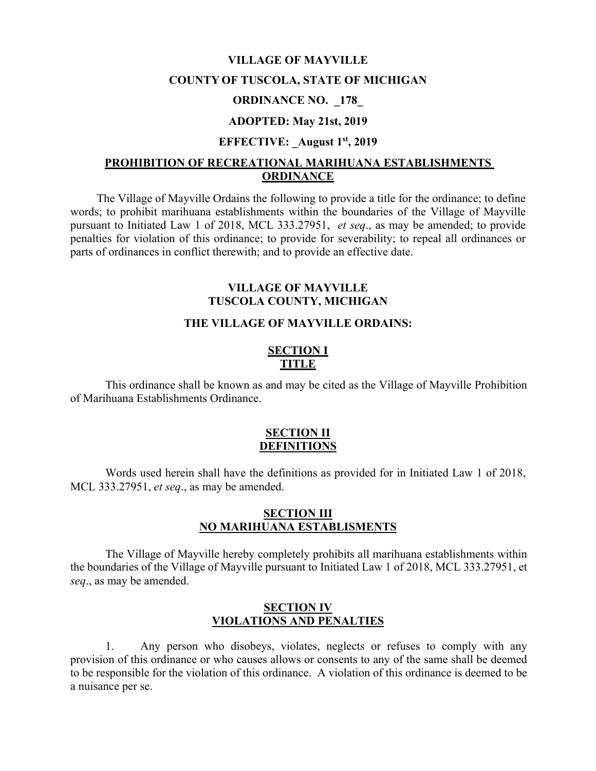#### **VILLAGE OF MAYVILLE**

#### **COUNTY OF TUSCOLA, STATE OF MICHIGAN**

#### **ORDINANCE NO. \_178\_**

### **ADOPTED: May 21st, 2019**

#### **EFFECTIVE: \_August 1st, 2019**

#### **PROHIBITION OF RECREATIONAL MARIHUANA ESTABLISHMENTS ORDINANCE**

The Village of Mayville Ordains the following to provide a title for the ordinance; to define words; to prohibit marihuana establishments within the boundaries of the Village of Mayville pursuant to Initiated Law 1 of 2018, MCL 333.27951, *et seq*., as may be amended; to provide penalties for violation of this ordinance; to provide for severability; to repeal all ordinances or parts of ordinances in conflict therewith; and to provide an effective date.

### **VILLAGE OF MAYVILLE TUSCOLA COUNTY, MICHIGAN**

## **THE VILLAGE OF MAYVILLE ORDAINS:**

### **SECTION I TITLE**

This ordinance shall be known as and may be cited as the Village of Mayville Prohibition of Marihuana Establishments Ordinance.

#### **SECTION II DEFINITIONS**

Words used herein shall have the definitions as provided for in Initiated Law 1 of 2018, MCL 333.27951, *et seq*., as may be amended.

### **SECTION III NO MARIHUANA ESTABLISMENTS**

The Village of Mayville hereby completely prohibits all marihuana establishments within the boundaries of the Village of Mayville pursuant to Initiated Law 1 of 2018, MCL 333.27951, et *seq*., as may be amended.

### **SECTION IV VIOLATIONS AND PENALTIES**

1. Any person who disobeys, violates, neglects or refuses to comply with any provision of this ordinance or who causes allows or consents to any of the same shall be deemed to be responsible for the violation of this ordinance. A violation of this ordinance is deemed to be a nuisance per se.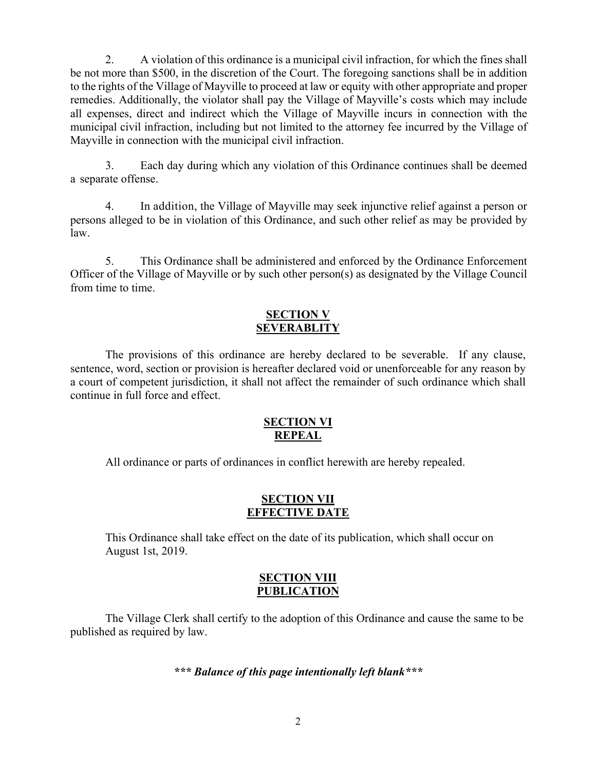2. A violation of this ordinance is a municipal civil infraction, for which the fines shall be not more than \$500, in the discretion of the Court. The foregoing sanctions shall be in addition to the rights of the Village of Mayville to proceed at law or equity with other appropriate and proper remedies. Additionally, the violator shall pay the Village of Mayville's costs which may include all expenses, direct and indirect which the Village of Mayville incurs in connection with the municipal civil infraction, including but not limited to the attorney fee incurred by the Village of Mayville in connection with the municipal civil infraction.

3. Each day during which any violation of this Ordinance continues shall be deemed a separate offense.

4. In addition, the Village of Mayville may seek injunctive relief against a person or persons alleged to be in violation of this Ordinance, and such other relief as may be provided by law.

5. This Ordinance shall be administered and enforced by the Ordinance Enforcement Officer of the Village of Mayville or by such other person(s) as designated by the Village Council from time to time.

# **SECTION V SEVERABLITY**

The provisions of this ordinance are hereby declared to be severable. If any clause, sentence, word, section or provision is hereafter declared void or unenforceable for any reason by a court of competent jurisdiction, it shall not affect the remainder of such ordinance which shall continue in full force and effect.

# **SECTION VI REPEAL**

All ordinance or parts of ordinances in conflict herewith are hereby repealed.

## **SECTION VII EFFECTIVE DATE**

This Ordinance shall take effect on the date of its publication, which shall occur on August 1st, 2019.

## **SECTION VIII PUBLICATION**

The Village Clerk shall certify to the adoption of this Ordinance and cause the same to be published as required by law.

# *\*\*\* Balance of this page intentionally left blank\*\*\**